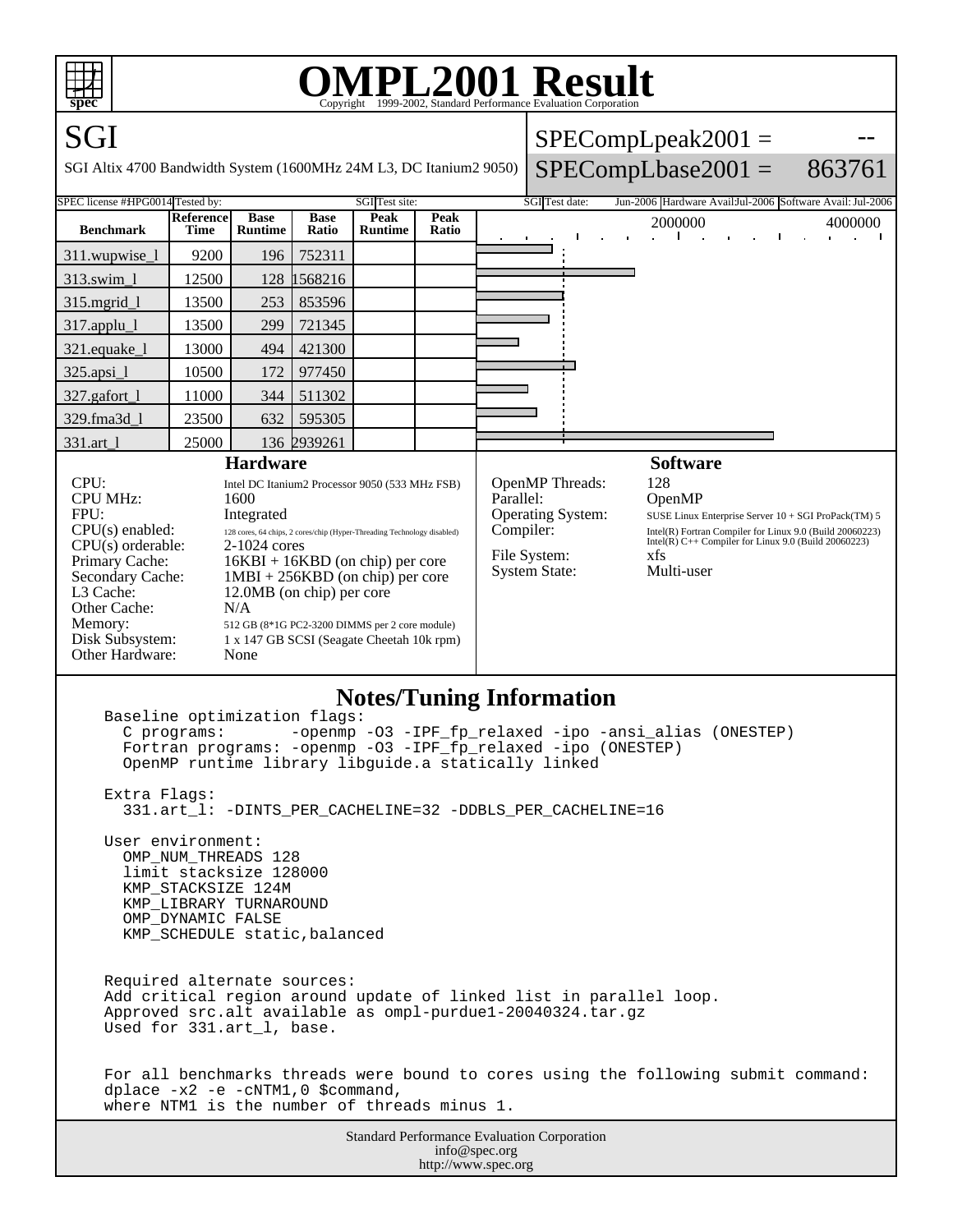

## **OMPL2001 Result** Copyright 1999-2002, Standard Performance Evaluation Corporation

SGI SGI Altix 4700 Bandwidth System (1600MHz 24M L3, DC Itanium2 9050)  $SPECompLpeak2001 =$  $SPECompLbase2001 =$ -- 863761 SPEC license #HPG0014 Tested by: SGI Test site: SGI Test site: SGI Test date: Jun-2006 Hardware Avail:Jul-2006 Software Avail: Jul-2006 **Benchmark Reference Time Base Runtime Base Ratio Peak Runtime Peak Ratio** 2000000 4000000 311.wupwise\_1 | 9200 | 196 | 752311 313.swim\_l 12500 128 1568216 315.mgrid\_1 | 13500 | 253 | 853596 317.applu\_l 13500 299 721345 321.equake\_l 13000 494 421300 325.apsi\_l 10500 172 977450 327.gafort\_l 11000 344 511302 329.fma3d\_1 | 23500 | 632 | 595305 331.art\_l 25000 136 2939261 **Hardware** CPU: Intel DC Itanium2 Processor 9050 (533 MHz FSB) CPU MHz: 1600<br>FPU: 1600<br>Integr FPU: Integrated<br>CPU(s) enabled: 128 cores, 64 chips, 128 cores, 64 chips, 2 cores/chip (Hyper-Threading Technology disabled)<br> $2-1024$  cores  $CPU(s)$  orderable: Primary Cache:  $16KBI + 16KBD$  (on chip) per core Secondary Cache: 1MBI + 256KBD (on chip) per core<br>L3 Cache: 12.0MB (on chip) per core 12.0MB (on chip) per core Other Cache:  $N/A$ <br>Memory: 512 GI 512 GB (8\*1G PC2-3200 DIMMS per 2 core module) Disk Subsystem: 1 x 147 GB SCSI (Seagate Cheetah 10k rpm) Other Hardware: None **Software** OpenMP Threads: 128 Parallel: OpenMP<br>Operating System: SUSE Linux I **Operating System:** SUSE Linux Enterprise Server 10 + SGI ProPack(TM) 5<br>
Compiler: Intel(R) Fortran Compiler for Linux 9.0 (Build 20060223) Intel(R) Fortran Compiler for Linux 9.0 (Build 20060223) Intel(R) C++ Compiler for Linux 9.0 (Build 20060223) File System: <br>System State: Multi-user System State:

## **Notes/Tuning Information**

Standard Performance Evaluation Corporation Baseline optimization flags: C programs: -openmp -O3 -IPF\_fp\_relaxed -ipo -ansi\_alias (ONESTEP) Fortran programs: -openmp -O3 -IPF\_fp\_relaxed -ipo (ONESTEP) OpenMP runtime library libguide.a statically linked Extra Flags: 331.art\_l: -DINTS\_PER\_CACHELINE=32 -DDBLS\_PER\_CACHELINE=16 User environment: OMP\_NUM\_THREADS 128 limit stacksize 128000 KMP\_STACKSIZE 124M KMP\_LIBRARY TURNAROUND OMP\_DYNAMIC FALSE KMP\_SCHEDULE static,balanced Required alternate sources: Add critical region around update of linked list in parallel loop. Approved src.alt available as ompl-purdue1-20040324.tar.gz Used for 331.art\_l, base. For all benchmarks threads were bound to cores using the following submit command: dplace -x2 -e -cNTM1,0 \$command, where NTM1 is the number of threads minus 1.

info@spec.org http://www.spec.org